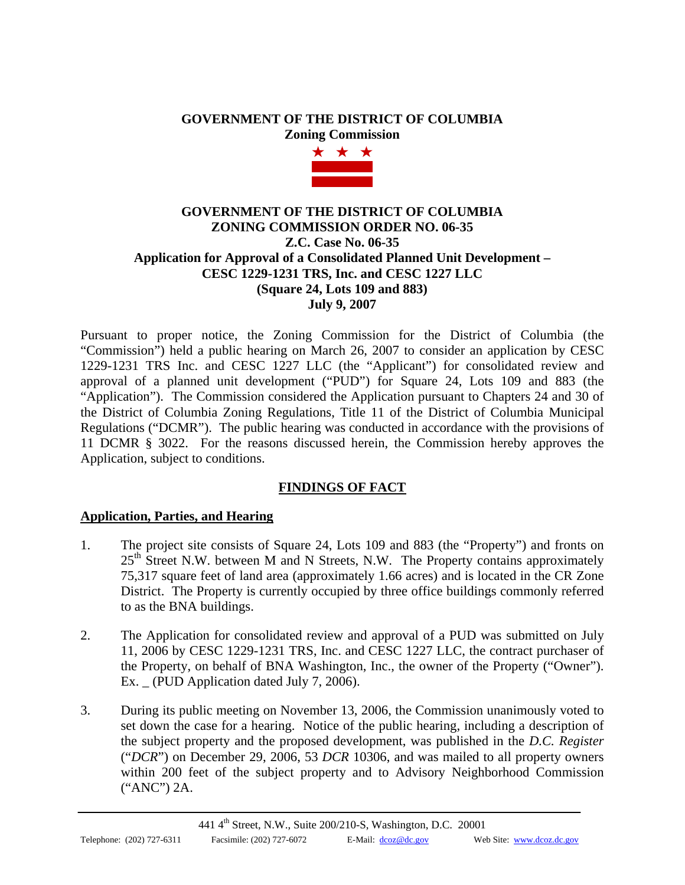# **GOVERNMENT OF THE DISTRICT OF COLUMBIA Zoning Commission**



# **GOVERNMENT OF THE DISTRICT OF COLUMBIA ZONING COMMISSION ORDER NO. 06-35 Z.C. Case No. 06-35 Application for Approval of a Consolidated Planned Unit Development – CESC 1229-1231 TRS, Inc. and CESC 1227 LLC (Square 24, Lots 109 and 883) July 9, 2007**

Pursuant to proper notice, the Zoning Commission for the District of Columbia (the "Commission") held a public hearing on March 26, 2007 to consider an application by CESC 1229-1231 TRS Inc. and CESC 1227 LLC (the "Applicant") for consolidated review and approval of a planned unit development ("PUD") for Square 24, Lots 109 and 883 (the "Application"). The Commission considered the Application pursuant to Chapters 24 and 30 of the District of Columbia Zoning Regulations, Title 11 of the District of Columbia Municipal Regulations ("DCMR"). The public hearing was conducted in accordance with the provisions of 11 DCMR § 3022. For the reasons discussed herein, the Commission hereby approves the Application, subject to conditions.

# **FINDINGS OF FACT**

# **Application, Parties, and Hearing**

- 1. The project site consists of Square 24, Lots 109 and 883 (the "Property") and fronts on  $25<sup>th</sup>$  Street N.W. between M and N Streets, N.W. The Property contains approximately 75,317 square feet of land area (approximately 1.66 acres) and is located in the CR Zone District. The Property is currently occupied by three office buildings commonly referred to as the BNA buildings.
- 2. The Application for consolidated review and approval of a PUD was submitted on July 11, 2006 by CESC 1229-1231 TRS, Inc. and CESC 1227 LLC, the contract purchaser of the Property, on behalf of BNA Washington, Inc., the owner of the Property ("Owner"). Ex.  $\angle$  (PUD Application dated July 7, 2006).
- 3. During its public meeting on November 13, 2006, the Commission unanimously voted to set down the case for a hearing. Notice of the public hearing, including a description of the subject property and the proposed development, was published in the *D.C. Register* ("*DCR*") on December 29, 2006, 53 *DCR* 10306, and was mailed to all property owners within 200 feet of the subject property and to Advisory Neighborhood Commission ("ANC") 2A.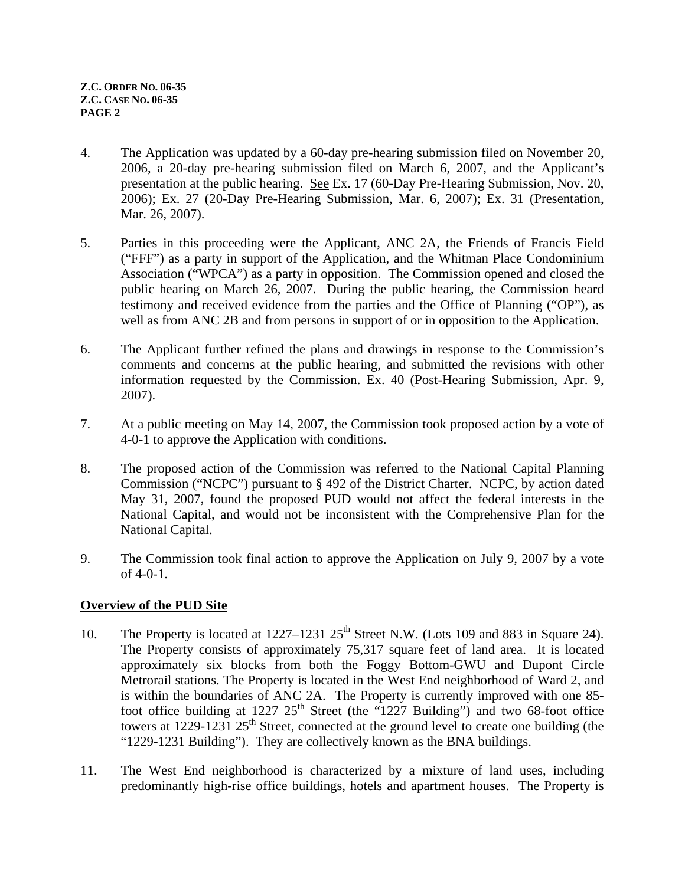- 4. The Application was updated by a 60-day pre-hearing submission filed on November 20, 2006, a 20-day pre-hearing submission filed on March 6, 2007, and the Applicant's presentation at the public hearing. See Ex. 17 (60-Day Pre-Hearing Submission, Nov. 20, 2006); Ex. 27 (20-Day Pre-Hearing Submission, Mar. 6, 2007); Ex. 31 (Presentation, Mar. 26, 2007).
- 5. Parties in this proceeding were the Applicant, ANC 2A, the Friends of Francis Field ("FFF") as a party in support of the Application, and the Whitman Place Condominium Association ("WPCA") as a party in opposition. The Commission opened and closed the public hearing on March 26, 2007. During the public hearing, the Commission heard testimony and received evidence from the parties and the Office of Planning ("OP"), as well as from ANC 2B and from persons in support of or in opposition to the Application.
- 6. The Applicant further refined the plans and drawings in response to the Commission's comments and concerns at the public hearing, and submitted the revisions with other information requested by the Commission. Ex. 40 (Post-Hearing Submission, Apr. 9, 2007).
- 7. At a public meeting on May 14, 2007, the Commission took proposed action by a vote of 4-0-1 to approve the Application with conditions.
- 8. The proposed action of the Commission was referred to the National Capital Planning Commission ("NCPC") pursuant to § 492 of the District Charter. NCPC, by action dated May 31, 2007, found the proposed PUD would not affect the federal interests in the National Capital, and would not be inconsistent with the Comprehensive Plan for the National Capital.
- 9. The Commission took final action to approve the Application on July 9, 2007 by a vote of 4-0-1.

# **Overview of the PUD Site**

- 10. The Property is located at  $1227-1231$   $25<sup>th</sup>$  Street N.W. (Lots 109 and 883 in Square 24). The Property consists of approximately 75,317 square feet of land area. It is located approximately six blocks from both the Foggy Bottom-GWU and Dupont Circle Metrorail stations. The Property is located in the West End neighborhood of Ward 2, and is within the boundaries of ANC 2A. The Property is currently improved with one 85 foot office building at  $1227 \t25<sup>th</sup>$  Street (the "1227 Building") and two 68-foot office towers at  $1229-1231$   $25<sup>th</sup>$  Street, connected at the ground level to create one building (the "1229-1231 Building"). They are collectively known as the BNA buildings.
- 11. The West End neighborhood is characterized by a mixture of land uses, including predominantly high-rise office buildings, hotels and apartment houses. The Property is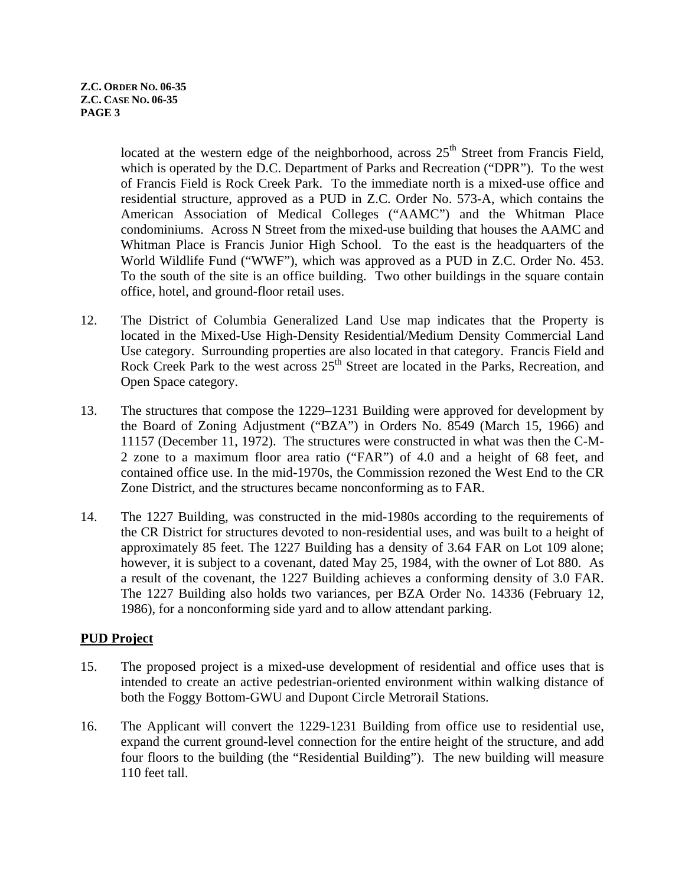located at the western edge of the neighborhood, across  $25<sup>th</sup>$  Street from Francis Field, which is operated by the D.C. Department of Parks and Recreation ("DPR"). To the west of Francis Field is Rock Creek Park. To the immediate north is a mixed-use office and residential structure, approved as a PUD in Z.C. Order No. 573-A, which contains the American Association of Medical Colleges ("AAMC") and the Whitman Place condominiums. Across N Street from the mixed-use building that houses the AAMC and Whitman Place is Francis Junior High School. To the east is the headquarters of the World Wildlife Fund ("WWF"), which was approved as a PUD in Z.C. Order No. 453. To the south of the site is an office building. Two other buildings in the square contain office, hotel, and ground-floor retail uses.

- 12. The District of Columbia Generalized Land Use map indicates that the Property is located in the Mixed-Use High-Density Residential/Medium Density Commercial Land Use category. Surrounding properties are also located in that category. Francis Field and Rock Creek Park to the west across  $25<sup>th</sup>$  Street are located in the Parks, Recreation, and Open Space category.
- 13. The structures that compose the 1229–1231 Building were approved for development by the Board of Zoning Adjustment ("BZA") in Orders No. 8549 (March 15, 1966) and 11157 (December 11, 1972). The structures were constructed in what was then the C-M-2 zone to a maximum floor area ratio ("FAR") of 4.0 and a height of 68 feet, and contained office use. In the mid-1970s, the Commission rezoned the West End to the CR Zone District, and the structures became nonconforming as to FAR.
- 14. The 1227 Building, was constructed in the mid-1980s according to the requirements of the CR District for structures devoted to non-residential uses, and was built to a height of approximately 85 feet. The 1227 Building has a density of 3.64 FAR on Lot 109 alone; however, it is subject to a covenant, dated May 25, 1984, with the owner of Lot 880. As a result of the covenant, the 1227 Building achieves a conforming density of 3.0 FAR. The 1227 Building also holds two variances, per BZA Order No. 14336 (February 12, 1986), for a nonconforming side yard and to allow attendant parking.

# **PUD Project**

- 15. The proposed project is a mixed-use development of residential and office uses that is intended to create an active pedestrian-oriented environment within walking distance of both the Foggy Bottom-GWU and Dupont Circle Metrorail Stations.
- 16. The Applicant will convert the 1229-1231 Building from office use to residential use, expand the current ground-level connection for the entire height of the structure, and add four floors to the building (the "Residential Building"). The new building will measure 110 feet tall.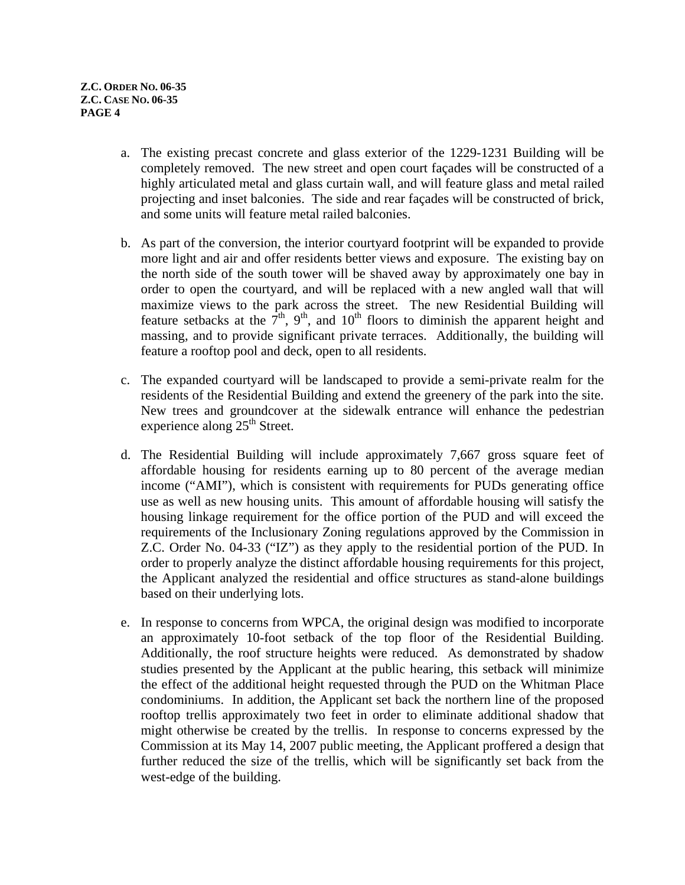- a. The existing precast concrete and glass exterior of the 1229-1231 Building will be completely removed. The new street and open court façades will be constructed of a highly articulated metal and glass curtain wall, and will feature glass and metal railed projecting and inset balconies. The side and rear façades will be constructed of brick, and some units will feature metal railed balconies.
- b. As part of the conversion, the interior courtyard footprint will be expanded to provide more light and air and offer residents better views and exposure. The existing bay on the north side of the south tower will be shaved away by approximately one bay in order to open the courtyard, and will be replaced with a new angled wall that will maximize views to the park across the street. The new Residential Building will feature setbacks at the  $7<sup>th</sup>$ , 9<sup>th</sup>, and 10<sup>th</sup> floors to diminish the apparent height and massing, and to provide significant private terraces. Additionally, the building will feature a rooftop pool and deck, open to all residents.
- c. The expanded courtyard will be landscaped to provide a semi-private realm for the residents of the Residential Building and extend the greenery of the park into the site. New trees and groundcover at the sidewalk entrance will enhance the pedestrian experience along  $25<sup>th</sup>$  Street.
- d. The Residential Building will include approximately 7,667 gross square feet of affordable housing for residents earning up to 80 percent of the average median income ("AMI"), which is consistent with requirements for PUDs generating office use as well as new housing units. This amount of affordable housing will satisfy the housing linkage requirement for the office portion of the PUD and will exceed the requirements of the Inclusionary Zoning regulations approved by the Commission in Z.C. Order No. 04-33 ("IZ") as they apply to the residential portion of the PUD. In order to properly analyze the distinct affordable housing requirements for this project, the Applicant analyzed the residential and office structures as stand-alone buildings based on their underlying lots.
- e. In response to concerns from WPCA, the original design was modified to incorporate an approximately 10-foot setback of the top floor of the Residential Building. Additionally, the roof structure heights were reduced. As demonstrated by shadow studies presented by the Applicant at the public hearing, this setback will minimize the effect of the additional height requested through the PUD on the Whitman Place condominiums. In addition, the Applicant set back the northern line of the proposed rooftop trellis approximately two feet in order to eliminate additional shadow that might otherwise be created by the trellis. In response to concerns expressed by the Commission at its May 14, 2007 public meeting, the Applicant proffered a design that further reduced the size of the trellis, which will be significantly set back from the west-edge of the building.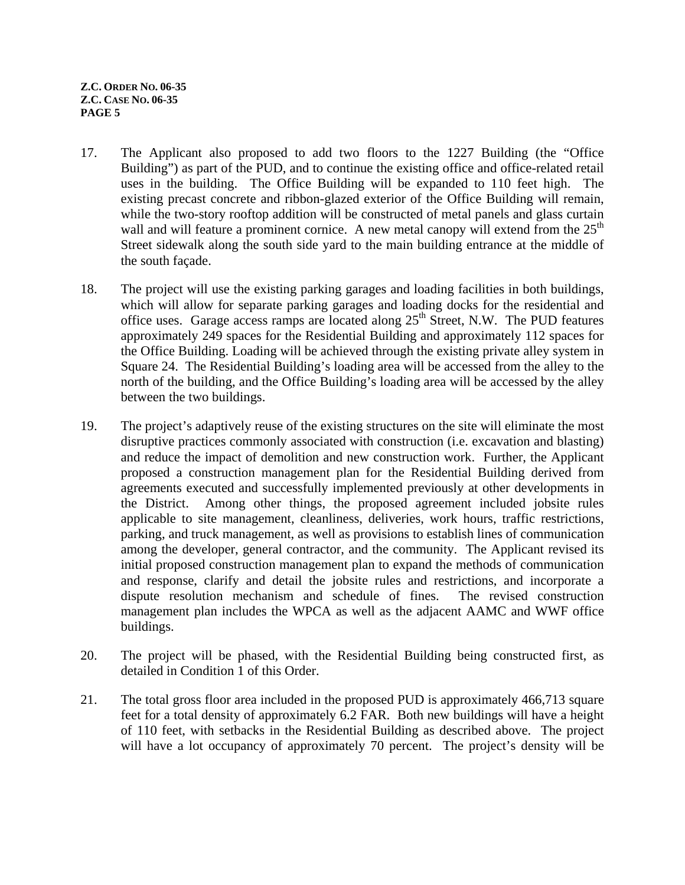- <span id="page-4-0"></span>17. The Applicant also proposed to add two floors to the 1227 Building (the "Office Building") as part of the PUD, and to continue the existing office and office-related retail uses in the building. The Office Building will be expanded to 110 feet high. The existing precast conc[re](#page-4-0)te and ribbon-glazed exterior of the Office Building will remain, while the two-story rooftop addition will be constructed of metal panels and glass curtain wall and will feature a prominent cornice. A new metal canopy will extend from the  $25<sup>th</sup>$ Street sidewalk along the south side yard to the main building entrance at the middle of the south façade.
- 18. The project will use the existing parking garages and loading facilities in both buildings, which will allow for separate parking garages and loading docks for the residential and office uses. Garage access ramps are located along  $25<sup>th</sup>$  Street, N.W. The PUD features approximately 249 spaces for the Residential Building and approximately 112 spaces for the Office Building. Loading will be achieved through the existing private alley system in Square 24. The Residential Building's loading area will be accessed from the alley to the north of the building, and the Office Building's loading area will be accessed by the alley between the two buildings.
- 19. The project's adaptively reuse of the existing structures on the site will eliminate the most disruptive practices commonly associated with construction (i.e. excavation and blasting) and reduce the impact of demolition and new construction work. Further, the Applicant proposed a construction management plan for the Residential Building derived from agreements executed and successfully implemented previously at other developments in the District. Among other things, the proposed agreement included jobsite rules applicable to site management, cleanliness, deliveries, work hours, traffic restrictions, parking, and truck management, as well as provisions to establish lines of communication among the developer, general contractor, and the community. The Applicant revised its initial proposed construction management plan to expand the methods of communication and response, clarify and detail the jobsite rules and restrictions, and incorporate a dispute resolution mechanism and schedule of fines. The revised construction management plan includes the WPCA as well as the adjacent AAMC and WWF office buildings.
- 20. The project will be phased, with the Residential Building being constructed first, as detailed in Condition [1](#page-16-0) of this Order.
- 21. The total gross floor area included in the proposed PUD is approximately 466,713 square feet for a total density of approximately 6.2 FAR. Both new buildings will have a height of 110 feet, with setbacks in the Residential Building as described above. The project will have a lot occupancy of approximately 70 percent. The project's density will be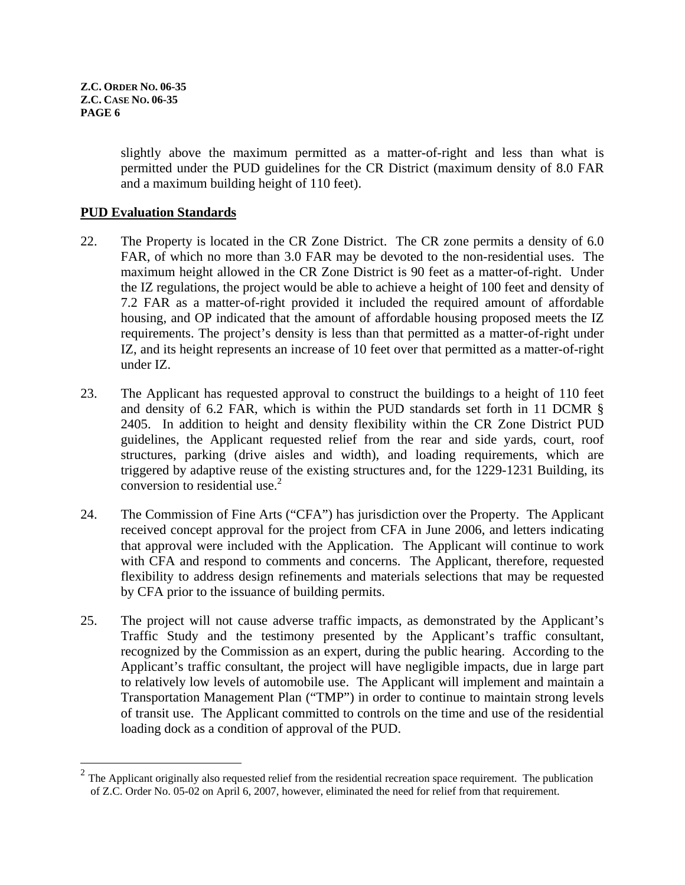1

slightly above the maximum permitted as a matter-of-right and less than what is permitted under the PUD guidelines for the CR District (maximum density of 8.0 FAR and a maximum building height of 110 feet).

#### **PUD Evaluation Standards**

- 22. The Property is located in the CR Zone District. The CR zone permits a density of 6.0 FAR, of which no more than 3.0 FAR may be devoted to the non-residential uses. The maximum height allowed in the CR Zone District is 90 feet as a matter-of-right. Under the IZ regulations, the project would be able to achieve a height of 100 feet and density of 7.2 FAR as a matter-of-right provided it included the required amount of affordable housing, and OP indicated that the amount of affordable housing proposed meets the IZ requirements. The project's density is less than that permitted as a matter-of-right under IZ, and its height represents an increase of 10 feet over that permitted as a matter-of-right under IZ.
- 23. The Applicant has requested approval to construct the buildings to a height of 110 feet and density of 6.2 FAR, which is within the PUD standards set forth in 11 DCMR § 2405. In addition to height and density flexibility within the CR Zone District PUD guidelines, the Applicant requested relief from the rear and side yards, court, roof structures, parking (drive aisles and width), and loading requirements, which are triggered by adaptive reuse of the existing structures and, for the 1229-1231 Building, its conversion to residential use. $<sup>2</sup>$ </sup>
- 24. The Commission of Fine Arts ("CFA") has jurisdiction over the Property. The Applicant received concept approval for the project from CFA in June 2006, and letters indicating that approval were included with the Application. The Applicant will continue to work with CFA and respond to comments and concerns. The Applicant, therefore, requested flexibility to address design refinements and materials selections that may be requested by CFA prior to the issuance of building permits.
- 25. The project will not cause adverse traffic impacts, as demonstrated by the Applicant's Traffic Study and the testimony presented by the Applicant's traffic consultant, recognized by the Commission as an expert, during the public hearing. According to the Applicant's traffic consultant, the project will have negligible impacts, due in large part to relatively low levels of automobile use. The Applicant will implement and maintain a Transportation Management Plan ("TMP") in order to continue to maintain strong levels of transit use. The Applicant committed to controls on the time and use of the residential loading dock as a condition of approval of the PUD.

<span id="page-5-0"></span> $2<sup>2</sup>$  The Applicant originally also requested relief from the residential recreation space requirement. The publication of Z.C. Order No. 05-02 on April 6, 2007, however, eliminated the need for relief from that requirement.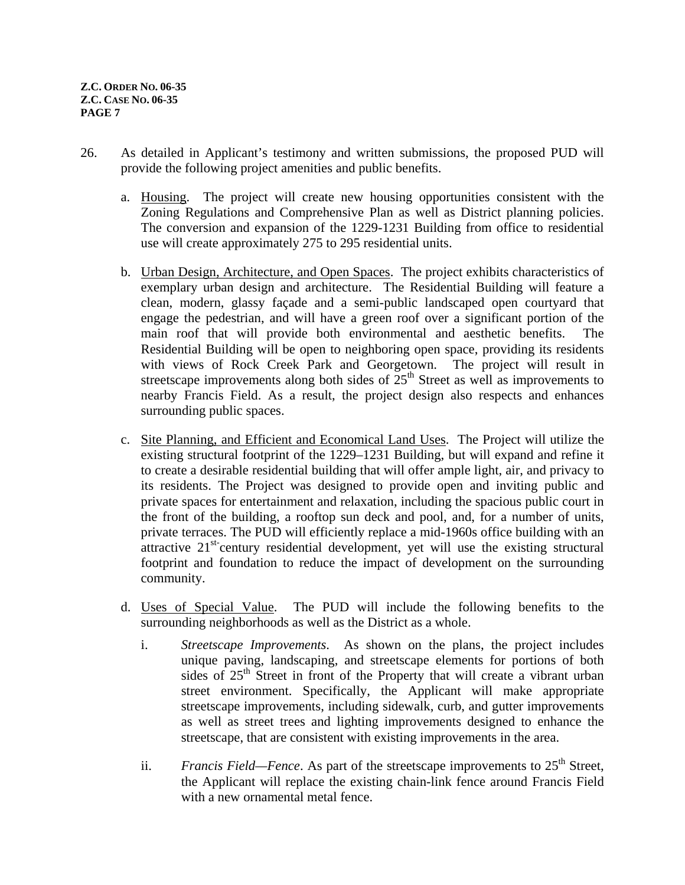- 26. As detailed in Applicant's testimony and written submissions, the proposed PUD will provide the following project amenities and public benefits.
	- a. Housing. The project will create new housing opportunities consistent with the Zoning Regulations and Comprehensive Plan as well as District planning policies. The conversion and expansion of the 1229-1231 Building from office to residential use will create approximately 275 to 295 residential units.
	- b. Urban Design, Architecture, and Open Spaces. The project exhibits characteristics of exemplary urban design and architecture. The Residential Building will feature a clean, modern, glassy façade and a semi-public landscaped open courtyard that engage the pedestrian, and will have a green roof over a significant portion of the main roof that will provide both environmental and aesthetic benefits. The Residential Building will be open to neighboring open space, providing its residents with views of Rock Creek Park and Georgetown. The project will result in streetscape improvements along both sides of  $25<sup>th</sup>$  Street as well as improvements to nearby Francis Field. As a result, the project design also respects and enhances surrounding public spaces.
	- c. Site Planning, and Efficient and Economical Land Uses. The Project will utilize the existing structural footprint of the 1229–1231 Building, but will expand and refine it to create a desirable residential building that will offer ample light, air, and privacy to its residents. The Project was designed to provide open and inviting public and private spaces for entertainment and relaxation, including the spacious public court in the front of the building, a rooftop sun deck and pool, and, for a number of units, private terraces. The PUD will efficiently replace a mid-1960s office building with an attractive  $21^{st}$ -century residential development, yet will use the existing structural footprint and foundation to reduce the impact of development on the surrounding community.
	- d. Uses of Special Value. The PUD will include the following benefits to the surrounding neighborhoods as well as the District as a whole.
		- i. *Streetscape Improvements*. As shown on the plans, the project includes unique paving, landscaping, and streetscape elements for portions of both sides of  $25<sup>th</sup>$  Street in front of the Property that will create a vibrant urban street environment. Specifically, the Applicant will make appropriate streetscape improvements, including sidewalk, curb, and gutter improvements as well as street trees and lighting improvements designed to enhance the streetscape, that are consistent with existing improvements in the area.
		- ii. *Francis Field—Fence*. As part of the streetscape improvements to 25<sup>th</sup> Street, the Applicant will replace the existing chain-link fence around Francis Field with a new ornamental metal fence.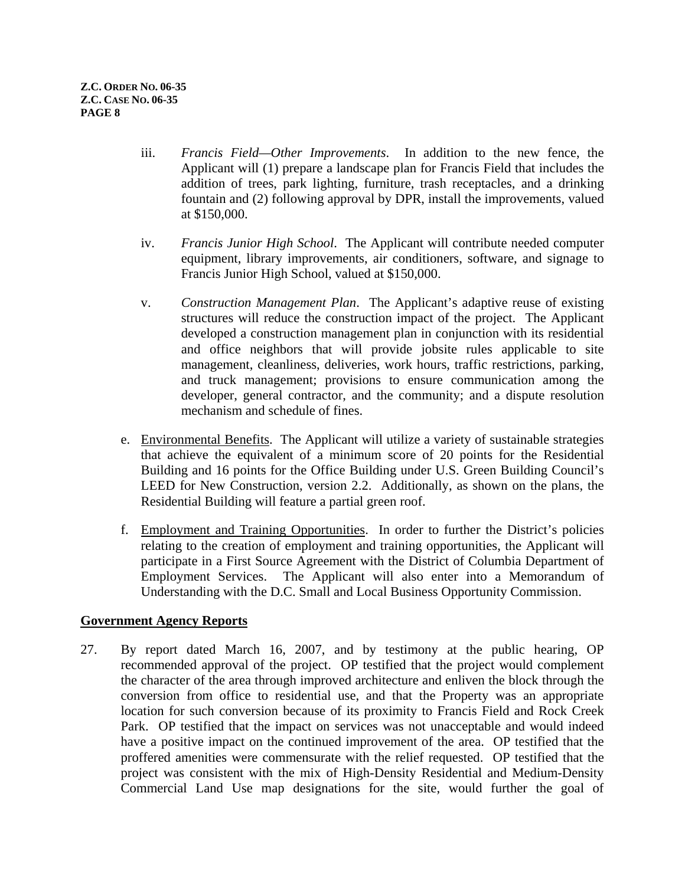- iii. *Francis Field—Other Improvements*. In addition to the new fence, the Applicant will (1) prepare a landscape plan for Francis Field that includes the addition of trees, park lighting, furniture, trash receptacles, and a drinking fountain and (2) following approval by DPR, install the improvements, valued at \$150,000.
- iv. *Francis Junior High School*. The Applicant will contribute needed computer equipment, library improvements, air conditioners, software, and signage to Francis Junior High School, valued at \$150,000.
- v. *Construction Management Plan*. The Applicant's adaptive reuse of existing structures will reduce the construction impact of the project. The Applicant developed a construction management plan in conjunction with its residential and office neighbors that will provide jobsite rules applicable to site management, cleanliness, deliveries, work hours, traffic restrictions, parking, and truck management; provisions to ensure communication among the developer, general contractor, and the community; and a dispute resolution mechanism and schedule of fines.
- e. Environmental Benefits. The Applicant will utilize a variety of sustainable strategies that achieve the equivalent of a minimum score of 20 points for the Residential Building and 16 points for the Office Building under U.S. Green Building Council's LEED for New Construction, version 2.2. Additionally, as shown on the plans, the Residential Building will feature a partial green roof.
- f. Employment and Training Opportunities. In order to further the District's policies relating to the creation of employment and training opportunities, the Applicant will participate in a First Source Agreement with the District of Columbia Department of Employment Services. The Applicant will also enter into a Memorandum of Understanding with the D.C. Small and Local Business Opportunity Commission.

# **Government Agency Reports**

27. By report dated March 16, 2007, and by testimony at the public hearing, OP recommended approval of the project. OP testified that the project would complement the character of the area through improved architecture and enliven the block through the conversion from office to residential use, and that the Property was an appropriate location for such conversion because of its proximity to Francis Field and Rock Creek Park. OP testified that the impact on services was not unacceptable and would indeed have a positive impact on the continued improvement of the area. OP testified that the proffered amenities were commensurate with the relief requested. OP testified that the project was consistent with the mix of High-Density Residential and Medium-Density Commercial Land Use map designations for the site, would further the goal of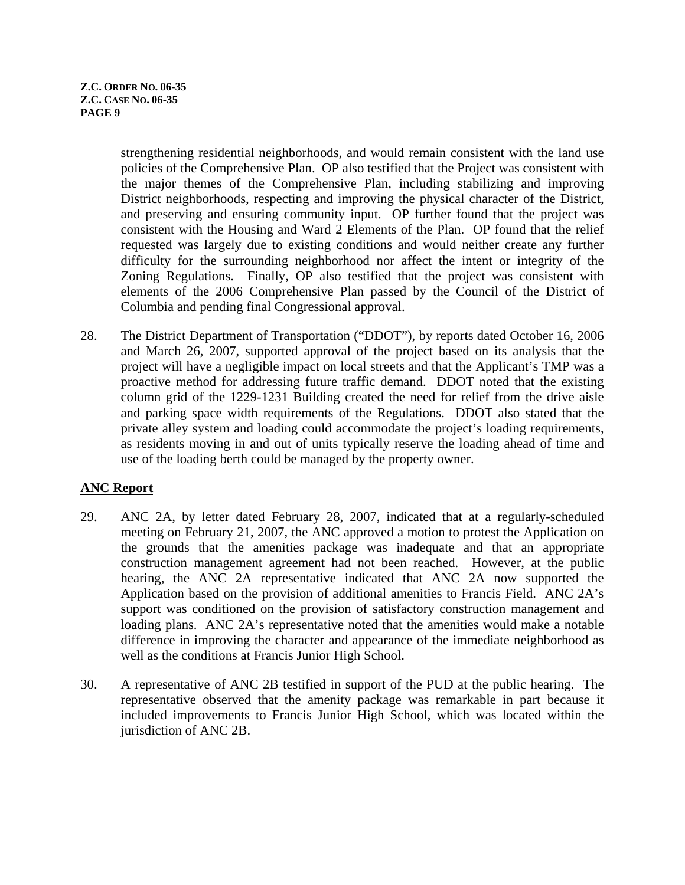strengthening residential neighborhoods, and would remain consistent with the land use policies of the Comprehensive Plan. OP also testified that the Project was consistent with the major themes of the Comprehensive Plan, including stabilizing and improving District neighborhoods, respecting and improving the physical character of the District, and preserving and ensuring community input. OP further found that the project was consistent with the Housing and Ward 2 Elements of the Plan. OP found that the relief requested was largely due to existing conditions and would neither create any further difficulty for the surrounding neighborhood nor affect the intent or integrity of the Zoning Regulations. Finally, OP also testified that the project was consistent with elements of the 2006 Comprehensive Plan passed by the Council of the District of Columbia and pending final Congressional approval.

28. The District Department of Transportation ("DDOT"), by reports dated October 16, 2006 and March 26, 2007, supported approval of the project based on its analysis that the project will have a negligible impact on local streets and that the Applicant's TMP was a proactive method for addressing future traffic demand. DDOT noted that the existing column grid of the 1229-1231 Building created the need for relief from the drive aisle and parking space width requirements of the Regulations. DDOT also stated that the private alley system and loading could accommodate the project's loading requirements, as residents moving in and out of units typically reserve the loading ahead of time and use of the loading berth could be managed by the property owner.

# **ANC Report**

- 29. ANC 2A, by letter dated February 28, 2007, indicated that at a regularly-scheduled meeting on February 21, 2007, the ANC approved a motion to protest the Application on the grounds that the amenities package was inadequate and that an appropriate construction management agreement had not been reached. However, at the public hearing, the ANC 2A representative indicated that ANC 2A now supported the Application based on the provision of additional amenities to Francis Field. ANC 2A's support was conditioned on the provision of satisfactory construction management and loading plans. ANC 2A's representative noted that the amenities would make a notable difference in improving the character and appearance of the immediate neighborhood as well as the conditions at Francis Junior High School.
- 30. A representative of ANC 2B testified in support of the PUD at the public hearing. The representative observed that the amenity package was remarkable in part because it included improvements to Francis Junior High School, which was located within the jurisdiction of ANC 2B.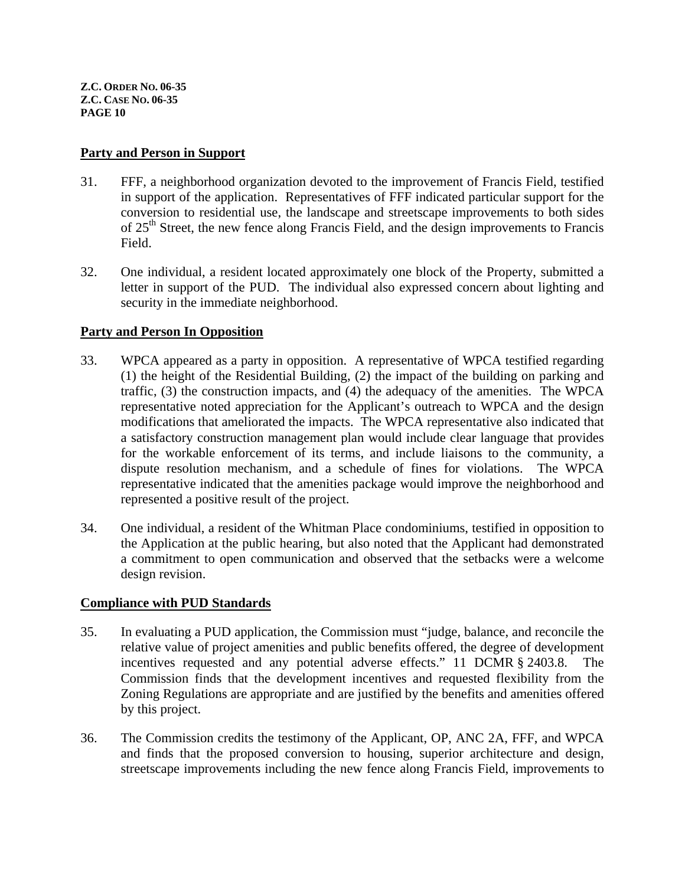#### **Party and Person in Support**

- 31. FFF, a neighborhood organization devoted to the improvement of Francis Field, testified in support of the application. Representatives of FFF indicated particular support for the conversion to residential use, the landscape and streetscape improvements to both sides of  $25<sup>th</sup>$  Street, the new fence along Francis Field, and the design improvements to Francis Field.
- 32. One individual, a resident located approximately one block of the Property, submitted a letter in support of the PUD. The individual also expressed concern about lighting and security in the immediate neighborhood.

#### **Party and Person In Opposition**

- 33. WPCA appeared as a party in opposition. A representative of WPCA testified regarding (1) the height of the Residential Building, (2) the impact of the building on parking and traffic, (3) the construction impacts, and (4) the adequacy of the amenities. The WPCA representative noted appreciation for the Applicant's outreach to WPCA and the design modifications that ameliorated the impacts. The WPCA representative also indicated that a satisfactory construction management plan would include clear language that provides for the workable enforcement of its terms, and include liaisons to the community, a dispute resolution mechanism, and a schedule of fines for violations. The WPCA representative indicated that the amenities package would improve the neighborhood and represented a positive result of the project.
- 34. One individual, a resident of the Whitman Place condominiums, testified in opposition to the Application at the public hearing, but also noted that the Applicant had demonstrated a commitment to open communication and observed that the setbacks were a welcome design revision.

#### **Compliance with PUD Standards**

- 35. In evaluating a PUD application, the Commission must "judge, balance, and reconcile the relative value of project amenities and public benefits offered, the degree of development incentives requested and any potential adverse effects." 11 DCMR § 2403.8. The Commission finds that the development incentives and requested flexibility from the Zoning Regulations are appropriate and are justified by the benefits and amenities offered by this project.
- 36. The Commission credits the testimony of the Applicant, OP, ANC 2A, FFF, and WPCA and finds that the proposed conversion to housing, superior architecture and design, streetscape improvements including the new fence along Francis Field, improvements to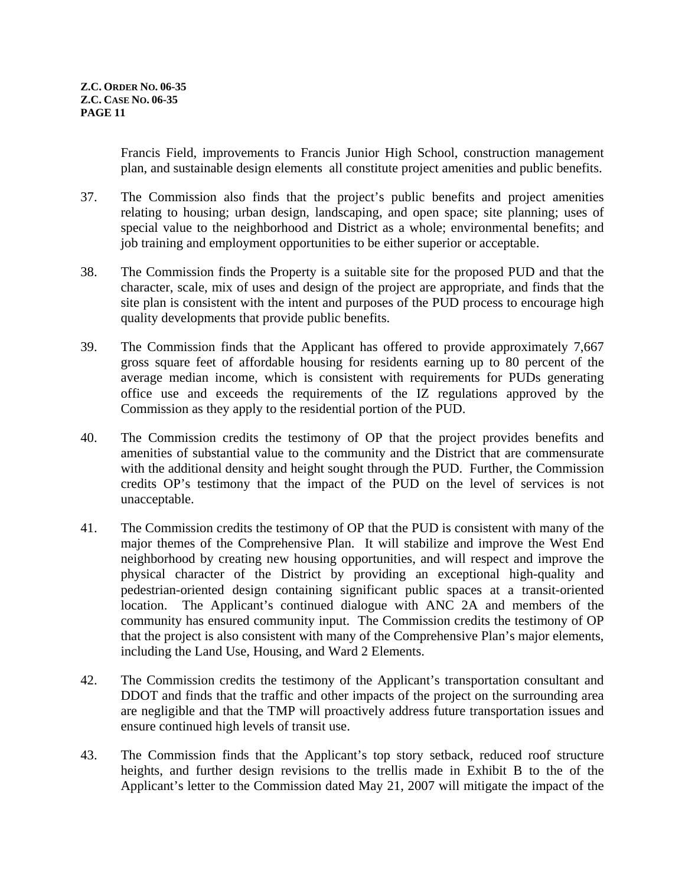Francis Field, improvements to Francis Junior High School, construction management plan, and sustainable design elements all constitute project amenities and public benefits.

- 37. The Commission also finds that the project's public benefits and project amenities relating to housing; urban design, landscaping, and open space; site planning; uses of special value to the neighborhood and District as a whole; environmental benefits; and job training and employment opportunities to be either superior or acceptable.
- 38. The Commission finds the Property is a suitable site for the proposed PUD and that the character, scale, mix of uses and design of the project are appropriate, and finds that the site plan is consistent with the intent and purposes of the PUD process to encourage high quality developments that provide public benefits.
- 39. The Commission finds that the Applicant has offered to provide approximately 7,667 gross square feet of affordable housing for residents earning up to 80 percent of the average median income, which is consistent with requirements for PUDs generating office use and exceeds the requirements of the IZ regulations approved by the Commission as they apply to the residential portion of the PUD.
- 40. The Commission credits the testimony of OP that the project provides benefits and amenities of substantial value to the community and the District that are commensurate with the additional density and height sought through the PUD. Further, the Commission credits OP's testimony that the impact of the PUD on the level of services is not unacceptable.
- 41. The Commission credits the testimony of OP that the PUD is consistent with many of the major themes of the Comprehensive Plan. It will stabilize and improve the West End neighborhood by creating new housing opportunities, and will respect and improve the physical character of the District by providing an exceptional high-quality and pedestrian-oriented design containing significant public spaces at a transit-oriented location. The Applicant's continued dialogue with ANC 2A and members of the community has ensured community input. The Commission credits the testimony of OP that the project is also consistent with many of the Comprehensive Plan's major elements, including the Land Use, Housing, and Ward 2 Elements.
- 42. The Commission credits the testimony of the Applicant's transportation consultant and DDOT and finds that the traffic and other impacts of the project on the surrounding area are negligible and that the TMP will proactively address future transportation issues and ensure continued high levels of transit use.
- 43. The Commission finds that the Applicant's top story setback, reduced roof structure heights, and further design revisions to the trellis made in Exhibit B to the of the Applicant's letter to the Commission dated May 21, 2007 will mitigate the impact of the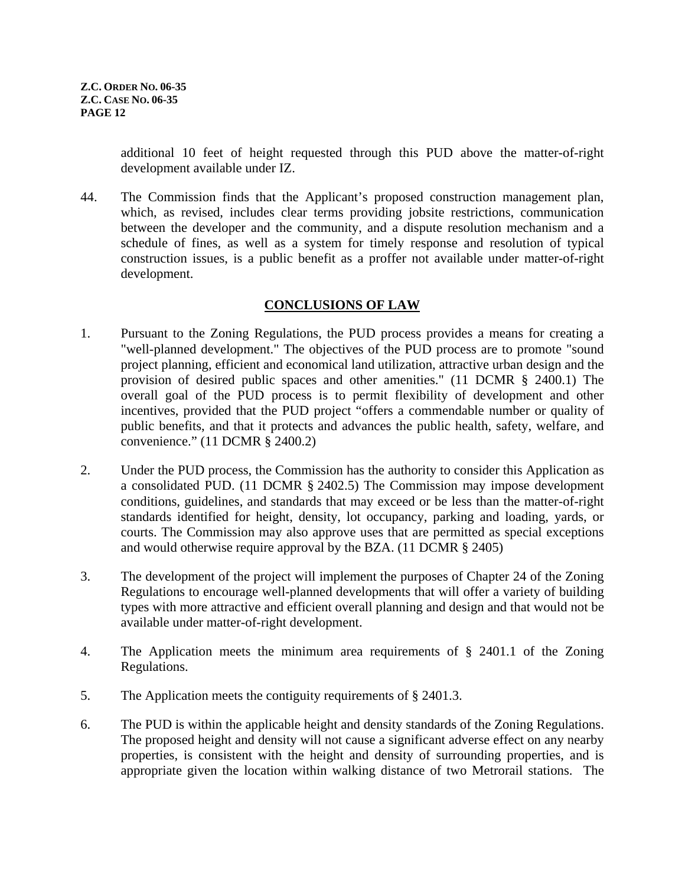additional 10 feet of height requested through this PUD above the matter-of-right development available under IZ.

44. The Commission finds that the Applicant's proposed construction management plan, which, as revised, includes clear terms providing jobsite restrictions, communication between the developer and the community, and a dispute resolution mechanism and a schedule of fines, as well as a system for timely response and resolution of typical construction issues, is a public benefit as a proffer not available under matter-of-right development.

# **CONCLUSIONS OF LAW**

- 1. Pursuant to the Zoning Regulations, the PUD process provides a means for creating a "well-planned development." The objectives of the PUD process are to promote "sound project planning, efficient and economical land utilization, attractive urban design and the provision of desired public spaces and other amenities." (11 DCMR § 2400.1) The overall goal of the PUD process is to permit flexibility of development and other incentives, provided that the PUD project "offers a commendable number or quality of public benefits, and that it protects and advances the public health, safety, welfare, and convenience." (11 DCMR § 2400.2)
- 2. Under the PUD process, the Commission has the authority to consider this Application as a consolidated PUD. (11 DCMR § 2402.5) The Commission may impose development conditions, guidelines, and standards that may exceed or be less than the matter-of-right standards identified for height, density, lot occupancy, parking and loading, yards, or courts. The Commission may also approve uses that are permitted as special exceptions and would otherwise require approval by the BZA. (11 DCMR § 2405)
- 3. The development of the project will implement the purposes of Chapter 24 of the Zoning Regulations to encourage well-planned developments that will offer a variety of building types with more attractive and efficient overall planning and design and that would not be available under matter-of-right development.
- 4. The Application meets the minimum area requirements of § 2401.1 of the Zoning Regulations.
- 5. The Application meets the contiguity requirements of § 2401.3.
- 6. The PUD is within the applicable height and density standards of the Zoning Regulations. The proposed height and density will not cause a significant adverse effect on any nearby properties, is consistent with the height and density of surrounding properties, and is appropriate given the location within walking distance of two Metrorail stations. The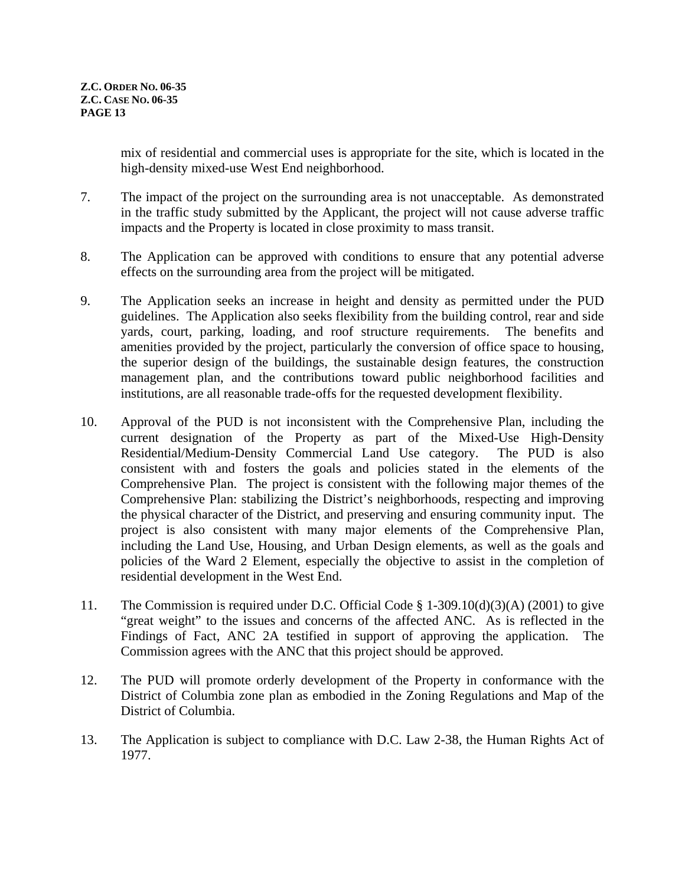<span id="page-12-0"></span>mix of residential and commercial uses is appropriate for the site, which is located in the high-density mixed-use West End neighborhood.

- 7. The impact of the project on the surrounding area is not unacceptable. As demonstrated in the traffic study submitted by the Applicant, the project will not cause adverse traffic impacts and the Property is located in close proximity to mass transit.
- 8. The Application can be approved with conditions to ensure that any potential adverse effects on the surrounding area from the project will be mitigated.
- 9. The Application seeks an increase in height and density as permitted under the PUD guidelines. The Application also seeks flexibility from the building control, rear and side yards, court, parking, loading, and roof structure requirements[.](#page-12-0) The benefits and amenities provided by the project, particularly the conversion of office space to housing, the superior design of the buildings, the sustainable design features, the construction management plan, and the contributions toward public neighborhood facilities and institutions, are all reasonable trade-offs for the requested development flexibility.
- 10. Approval of the PUD is not inconsistent with the Comprehensive Plan, including the current designation of the Property as part of the Mixed-Use High-Density Residential/Medium-Density Commercial Land Use category. The PUD is also consistent with and fosters the goals and policies stated in the elements of the Comprehensive Plan. The project is consistent with the following major themes of the Comprehensive Plan: stabilizing the District's neighborhoods, respecting and improving the physical character of the District, and preserving and ensuring community input. The project is also consistent with many major elements of the Comprehensive Plan, including the Land Use, Housing, and Urban Design elements, as well as the goals and policies of the Ward 2 Element, especially the objective to assist in the completion of residential development in the West End.
- 11. The Commission is required under D.C. Official Code § 1-309.10(d)(3)(A) (2001) to give "great weight" to the issues and concerns of the affected ANC. As is reflected in the Findings of Fact, ANC 2A testified in support of approving the application. The Commission agrees with the ANC that this project should be approved.
- 12. The PUD will promote orderly development of the Property in conformance with the District of Columbia zone plan as embodied in the Zoning Regulations and Map of the District of Columbia.
- 13. The Application is subject to compliance with D.C. Law 2-38, the Human Rights Act of 1977.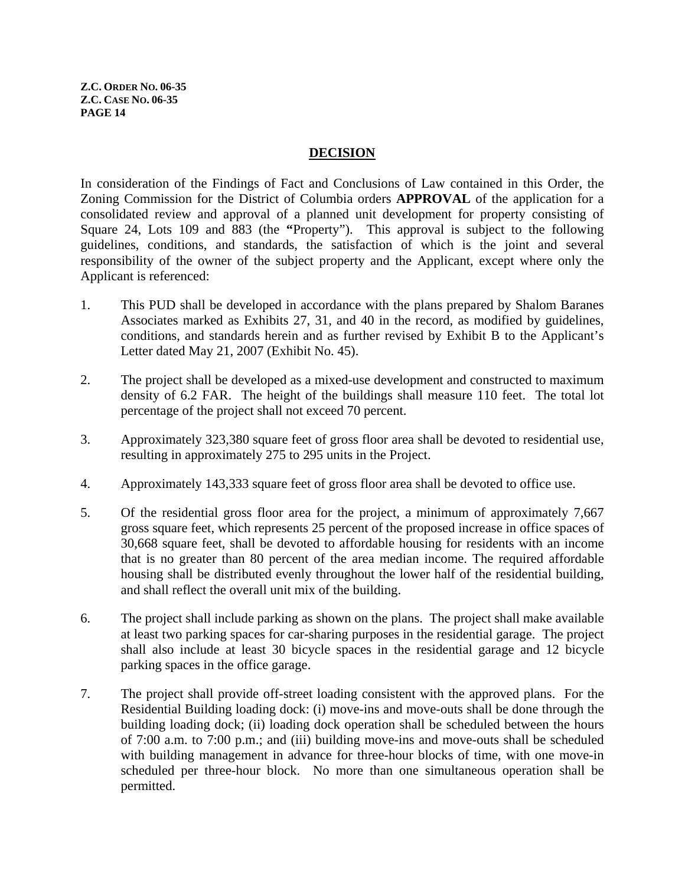#### **DECISION**

In consideration of the Findings of Fact and Conclusions of Law contained in this Order, the Zoning Commission for the District of Columbia orders **APPROVAL** of the application for a consolidated review and approval of a planned unit development for property consisting of Square 24, Lots 109 and 883 (the **"**Property"). This approval is subject to the following guidelines, conditions, and standards, the satisfaction of which is the joint and several responsibility of the owner of the subject property and the Applicant, except where only the Applicant is referenced:

- 1. This PUD shall be developed in accordance with the plans prepared by Shalom Baranes Associates marked as Exhibits 27, 31, and 40 in the record, as modified by guidelines, conditions, and standards herein and as further revised by Exhibit B to the Applicant's Letter dated May 21, 2007 (Exhibit No. 45).
- 2. The project shall be developed as a mixed-use development and constructed to maximum density of 6.2 FAR. The height of the buildings shall measure 110 feet. The total lot percentage of the project shall not exceed 70 percent.
- 3. Approximately 323,380 square feet of gross floor area shall be devoted to residential use, resulting in approximately 275 to 295 units in the Project.
- 4. Approximately 143,333 square feet of gross floor area shall be devoted to office use.
- 5. Of the residential gross floor area for the project, a minimum of approximately 7,667 gross square feet, which represents 25 percent of the proposed increase in office spaces of 30,668 square feet, shall be devoted to affordable housing for residents with an income that is no greater than 80 percent of the area median income. The required affordable housing shall be distributed evenly throughout the lower half of the residential building, and shall reflect the overall unit mix of the building.
- <span id="page-13-0"></span>6. The project shall include parking as shown on the plans. The project shall make available at least two parking spaces for car-sharing purposes in the residential garage. The project shall also include at least 30 bicycle spaces in the residential garage and 12 bicycle parking spaces in the office garage.
- 7. The project shall provide off-street loading consistent with the approved plans. For the Residential Building loading dock: (i) move-ins and move-outs shall be done through the building loading dock; (ii) loading dock operation shall be scheduled between the hours of 7:00 a.m. to 7:00 p.m.; and (iii) building move-ins and move-outs shall be scheduled with building management in advance for three-hour blocks of time, with one move-in scheduled per three-hour block. No more than one simultaneous operation shall be permitted.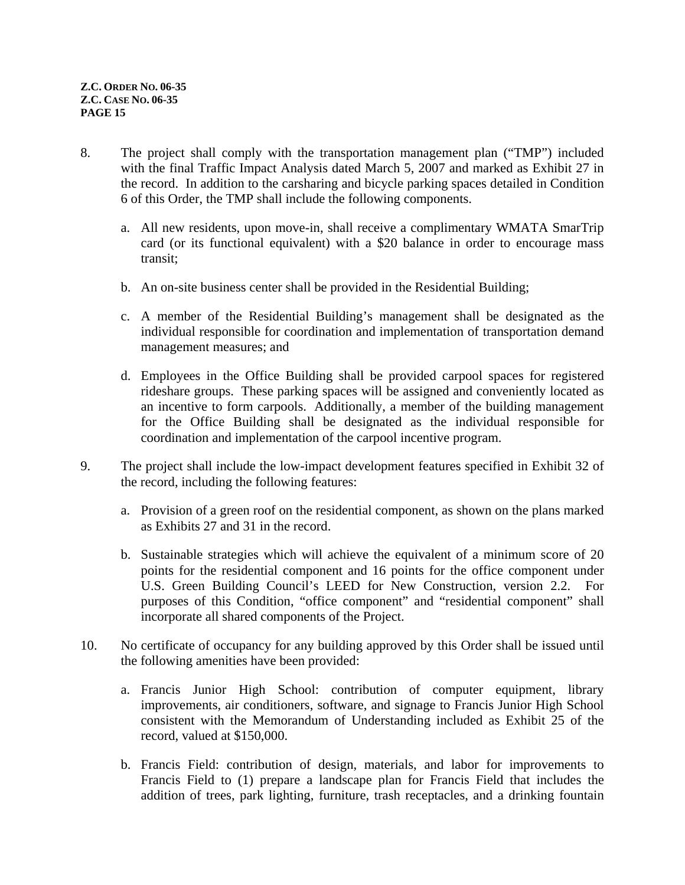- 8. The project shall comply with the transportation management plan ("TMP") included with the final Traffic Impact Analysis dated March 5, 2007 and marked as Exhibit 27 in the record. In addition to the carsharing and bicycle parking spaces detailed in Condition [6](#page-13-0) of this Order, the TMP shall include the following components.
	- a. All new residents, upon move-in, shall receive a complimentary WMATA SmarTrip card (or its functional equivalent) with a \$20 balance in order to encourage mass transit;
	- b. An on-site business center shall be provided in the Residential Building;
	- c. A member of the Residential Building's management shall be designated as the individual responsible for coordination and implementation of transportation demand management measures; and
	- d. Employees in the Office Building shall be provided carpool spaces for registered rideshare groups. These parking spaces will be assigned and conveniently located as an incentive to form carpools. Additionally, a member of the building management for the Office Building shall be designated as the individual responsible for coordination and implementation of the carpool incentive program.
- 9. The project shall include the low-impact development features specified in Exhibit 32 of the record, including the following features:
	- a. Provision of a green roof on the residential component, as shown on the plans marked as Exhibits 27 and 31 in the record.
	- b. Sustainable strategies which will achieve the equivalent of a minimum score of 20 points for the residential component and 16 points for the office component under U.S. Green Building Council's LEED for New Construction, version 2.2. For purposes of this Condition, "office component" and "residential component" shall incorporate all shared components of the Project.
- 10. No certificate of occupancy for any building approved by this Order shall be issued until the following amenities have been provided:
	- a. Francis Junior High School: contribution of computer equipment, library improvements, air conditioners, software, and signage to Francis Junior High School consistent with the Memorandum of Understanding included as Exhibit 25 of the record, valued at \$150,000.
	- b. Francis Field: contribution of design, materials, and labor for improvements to Francis Field to (1) prepare a landscape plan for Francis Field that includes the addition of trees, park lighting, furniture, trash receptacles, and a drinking fountain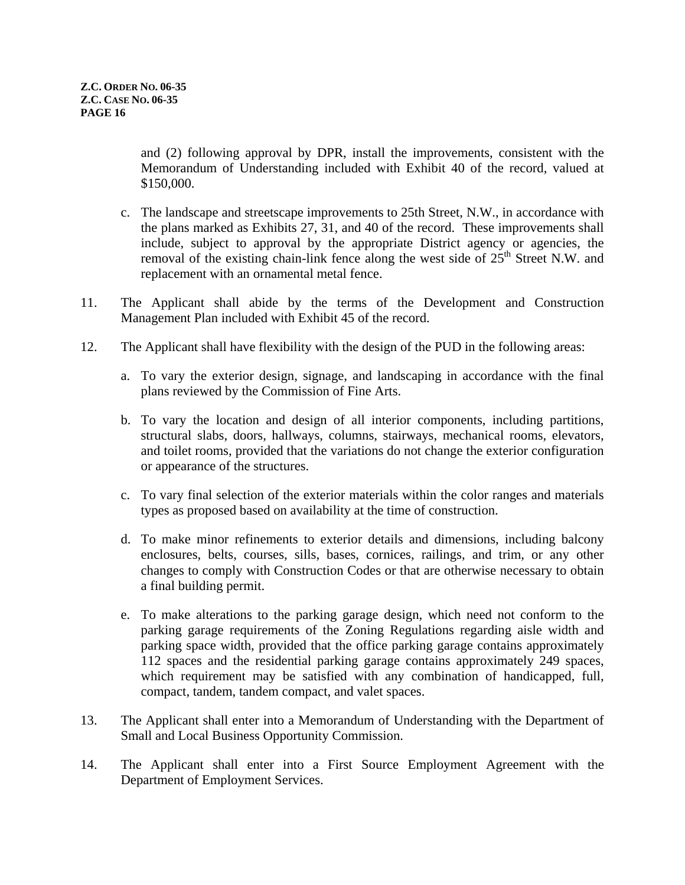and (2) following approval by DPR, install the improvements, consistent with the Memorandum of Understanding included with Exhibit 40 of the record, valued at \$150,000.

- c. The landscape and streetscape improvements to 25th Street, N.W., in accordance with the plans marked as Exhibits 27, 31, and 40 of the record. These improvements shall include, subject to approval by the appropriate District agency or agencies, the removal of the existing chain-link fence along the west side of  $25<sup>th</sup>$  Street N.W. and replacement with an ornamental metal fence.
- 11. The Applicant shall abide by the terms of the Development and Construction Management Plan included with Exhibit 45 of the record.
- 12. The Applicant shall have flexibility with the design of the PUD in the following areas:
	- a. To vary the exterior design, signage, and landscaping in accordance with the final plans reviewed by the Commission of Fine Arts.
	- b. To vary the location and design of all interior components, including partitions, structural slabs, doors, hallways, columns, stairways, mechanical rooms, elevators, and toilet rooms, provided that the variations do not change the exterior configuration or appearance of the structures.
	- c. To vary final selection of the exterior materials within the color ranges and materials types as proposed based on availability at the time of construction.
	- d. To make minor refinements to exterior details and dimensions, including balcony enclosures, belts, courses, sills, bases, cornices, railings, and trim, or any other changes to comply with Construction Codes or that are otherwise necessary to obtain a final building permit.
	- e. To make alterations to the parking garage design, which need not conform to the parking garage requirements of the Zoning Regulations regarding aisle width and parking space width, provided that the office parking garage contains approximately 112 spaces and the residential parking garage contains approximately 249 spaces, which requirement may be satisfied with any combination of handicapped, full, compact, tandem, tandem compact, and valet spaces.
- 13. The Applicant shall enter into a Memorandum of Understanding with the Department of Small and Local Business Opportunity Commission.
- 14. The Applicant shall enter into a First Source Employment Agreement with the Department of Employment Services.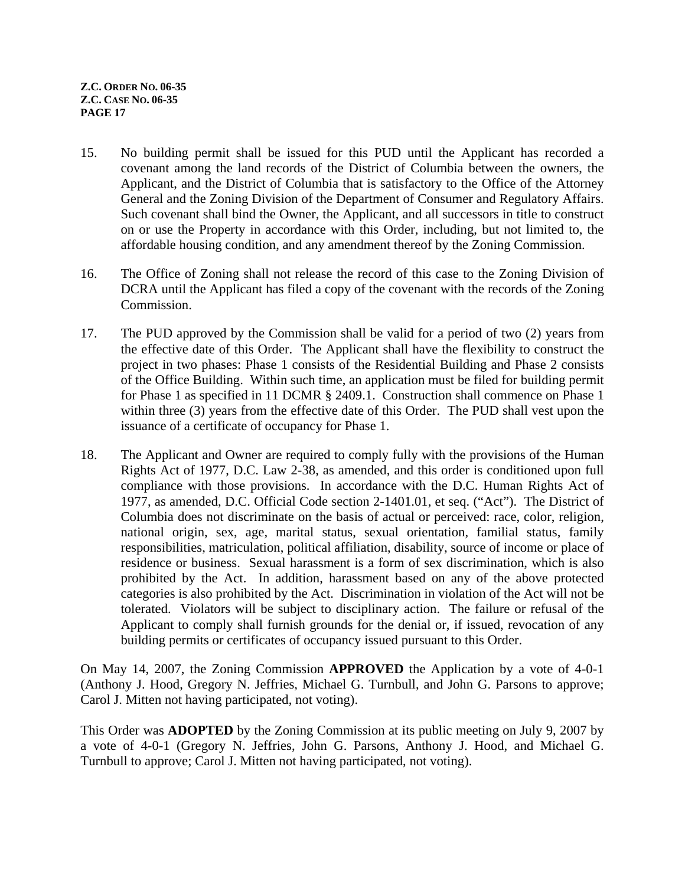- 15. No building permit shall be issued for this PUD until the Applicant has recorded a covenant among the land records of the District of Columbia between the owners, the Applicant, and the District of Columbia that is satisfactory to the Office of the Attorney General and the Zoning Division of the Department of Consumer and Regulatory Affairs. Such covenant shall bind the Owner, the Applicant, and all successors in title to construct on or use the Property in accordance with this Order, including, but not limited to, the affordable housing condition, and any amendment thereof by the Zoning Commission.
- 16. The Office of Zoning shall not release the record of this case to the Zoning Division of DCRA until the Applicant has filed a copy of the covenant with the records of the Zoning Commission.
- <span id="page-16-0"></span>17. The PUD approved by the Commission shall be valid for a period of two (2) years from the effective date of this Order. The Applicant shall have the flexibility to construct the project in two phases: Phase 1 consists of the Residential Building and Phase 2 consists of the Office Building. Within such time, an application must be filed for building permit for Phase 1 as specified in 11 DCMR § 2409.1. Construction shall commence on Phase 1 within three (3) years from the effective date of this Order. The PUD shall vest upon the issuance of a certificate of occupancy for Phase 1.
- 18. The Applicant and Owner are required to comply fully with the provisions of the Human Rights Act of 1977, D.C. Law 2-38, as amended, and this order is conditioned upon full compliance with those provisions. In accordance with the D.C. Human Rights Act of 1977, as amended, D.C. Official Code section 2-1401.01, et seq. ("Act"). The District of Columbia does not discriminate on the basis of actual or perceived: race, color, religion, national origin, sex, age, marital status, sexual orientation, familial status, family responsibilities, matriculation, political affiliation, disability, source of income or place of residence or business. Sexual harassment is a form of sex discrimination, which is also prohibited by the Act. In addition, harassment based on any of the above protected categories is also prohibited by the Act. Discrimination in violation of the Act will not be tolerated. Violators will be subject to disciplinary action. The failure or refusal of the Applicant to comply shall furnish grounds for the denial or, if issued, revocation of any building permits or certificates of occupancy issued pursuant to this Order.

On May 14, 2007, the Zoning Commission **APPROVED** the Application by a vote of 4-0-1 (Anthony J. Hood, Gregory N. Jeffries, Michael G. Turnbull, and John G. Parsons to approve; Carol J. Mitten not having participated, not voting).

This Order was **ADOPTED** by the Zoning Commission at its public meeting on July 9, 2007 by a vote of 4-0-1 (Gregory N. Jeffries, John G. Parsons, Anthony J. Hood, and Michael G. Turnbull to approve; Carol J. Mitten not having participated, not voting).